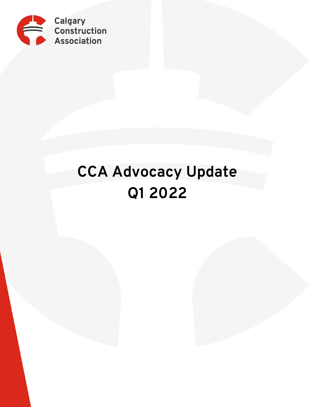

# **CCA Advocacy Update Q1 2022**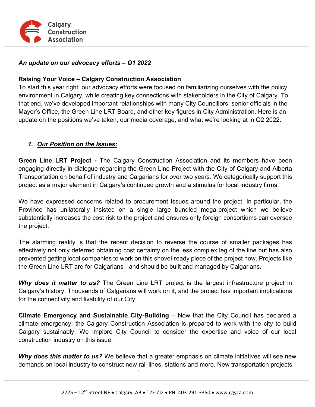

#### *An update on our advocacy efforts – Q1 2022*

### **Raising Your Voice – Calgary Construction Association**

To start this year right, our advocacy efforts were focused on familiarizing ourselves with the policy environment in Calgary, while creating key connections with stakeholders in the City of Calgary. To that end, we've developed important relationships with many City Councillors, senior officials in the Mayor's Office, the Green Line LRT Board, and other key figures in City Administration. Here is an update on the positions we've taken, our media coverage, and what we're looking at in Q2 2022.

#### *1. Our Position on the Issues:*

**Green Line LRT Project -** The Calgary Construction Association and its members have been engaging directly in dialogue regarding the Green Line Project with the City of Calgary and Alberta Transportation on behalf of industry and Calgarians for over two years. We categorically support this project as a major element in Calgary's continued growth and a stimulus for local industry firms.

We have expressed concerns related to procurement Issues around the project. In particular, the Province has unilaterally insisted on a single large bundled mega-project which we believe substantially increases the cost risk to the project and ensures only foreign consortiums can oversee the project.

The alarming reality is that the recent decision to reverse the course of smaller packages has effectively not only deferred obtaining cost certainty on the less complex leg of the line but has also prevented getting local companies to work on this shovel-ready piece of the project now. Projects like the Green Line LRT are for Calgarians - and should be built and managed by Calgarians.

*Why does it matter to us?* The Green Line LRT project is the largest infrastructure project in Calgary's history. Thousands of Calgarians will work on it, and the project has important implications for the connectivity and livability of our City.

**Climate Emergency and Sustainable City-Building** *–* Now that the City Council has declared a climate emergency, the Calgary Construction Association is prepared to work with the city to build Calgary sustainably. We implore City Council to consider the expertise and voice of our local construction industry on this issue.

*Why does this matter to us?* We believe that a greater emphasis on climate initiatives will see new demands on local industry to construct new rail lines, stations and more. New transportation projects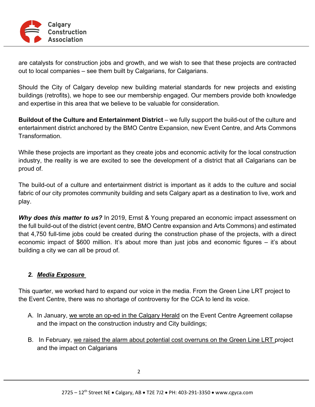

are catalysts for construction jobs and growth, and we wish to see that these projects are contracted out to local companies – see them built by Calgarians, for Calgarians.

Should the City of Calgary develop new building material standards for new projects and existing buildings (retrofits), we hope to see our membership engaged. Our members provide both knowledge and expertise in this area that we believe to be valuable for consideration.

**Buildout of the Culture and Entertainment District** – we fully support the build-out of the culture and entertainment district anchored by the BMO Centre Expansion, new Event Centre, and Arts Commons Transformation.

While these projects are important as they create jobs and economic activity for the local construction industry, the reality is we are excited to see the development of a district that all Calgarians can be proud of.

The build-out of a culture and entertainment district is important as it adds to the culture and social fabric of our city promotes community building and sets Calgary apart as a destination to live, work and play.

*Why does this matter to us?* In 2019, Ernst & Young prepared an economic impact assessment on the full build-out of the district (event centre, BMO Centre expansion and Arts Commons) and estimated that 4,750 full-time jobs could be created during the construction phase of the projects, with a direct economic impact of \$600 million. It's about more than just jobs and economic figures – it's about building a city we can all be proud of.

## *2. Media Exposure*

This quarter, we worked hard to expand our voice in the media. From the Green Line LRT project to the Event Centre, there was no shortage of controversy for the CCA to lend its voice.

- A. In January, [we wrote an op-ed in the Calgary Herald](https://calgaryherald.com/opinion/columnists/opinion-with-the-collapse-of-the-arena-project-what-happens-next-for-calgarys-rivers-district) on the Event Centre Agreement collapse and the impact on the construction industry and City buildings;
- B. In February, [we raised the alarm about potential cost overruns on the Green Line LRT p](https://canada.constructconnect.com/joc/news/associations/2022/02/calgary-green-line-costs-will-only-continue-to-skyrocket-cca)roject and the impact on Calgarians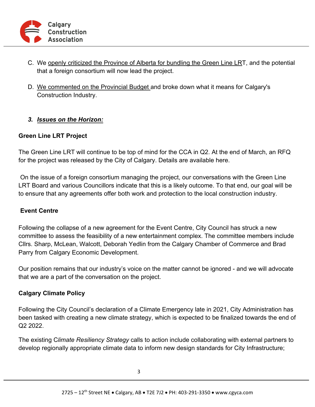

- C. We [openly criticized the Province of Alberta for bundling the Green Line LRT](https://calgaryherald.com/news/local-news/calgarys-new-green-line-boss-on-the-challenges-ahead-for-the-4-9-billion-project), and the potential that a foreign consortium will now lead the project.
- D. [We commented on the Provincial Budget a](https://canada.constructconnect.com/joc/news/associations/2022/03/alberta-builders-welcome-2022-budget)nd broke down what it means for Calgary's Construction Industry.

## *3. Issues on the Horizon:*

#### **Green Line LRT Project**

The Green Line LRT will continue to be top of mind for the CCA in Q2. At the end of March, an RFQ for the project was released by the City of Calgary. Details are available [here.](https://www.calgary.ca/green-line/green-line-construction/green-line-procurement.html)

 On the issue of a foreign consortium managing the project, our conversations with the Green Line LRT Board and various Councillors indicate that this is a likely outcome. To that end, our goal will be to ensure that any agreements offer both work and protection to the local construction industry.

## **Event Centre**

Following the collapse of a new agreement for the Event Centre, City Council has struck a new committee to assess the feasibility of a new entertainment complex. The committee members include Cllrs. Sharp, McLean, Walcott, Deborah Yedlin from the Calgary Chamber of Commerce and Brad Parry from Calgary Economic Development.

Our position remains that our industry's voice on the matter cannot be ignored - and we will advocate that we are a part of the conversation on the project.

#### **Calgary Climate Policy**

Following the City Council's declaration of a Climate Emergency late in 2021, City Administration has been tasked with creating a new climate strategy, which is expected to be finalized towards the end of Q2 2022.

The existing C*limate Resiliency Strategy* calls to action include collaborating with external partners to develop regionally appropriate climate data to inform new design standards for City Infrastructure;